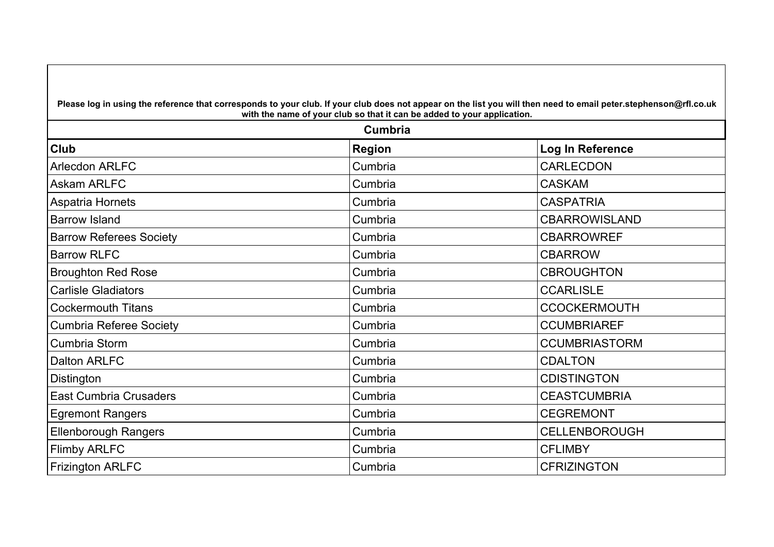| Please log in using the reference that corresponds to your club. If your club does not appear on the list you will then need to email peter.stephenson@rfl.co.uk<br>with the name of your club so that it can be added to your application.<br>Cumbria |         |                      |
|--------------------------------------------------------------------------------------------------------------------------------------------------------------------------------------------------------------------------------------------------------|---------|----------------------|
|                                                                                                                                                                                                                                                        |         |                      |
| <b>Arlecdon ARLFC</b>                                                                                                                                                                                                                                  | Cumbria | <b>CARLECDON</b>     |
| Askam ARLFC                                                                                                                                                                                                                                            | Cumbria | <b>CASKAM</b>        |
| Aspatria Hornets                                                                                                                                                                                                                                       | Cumbria | <b>CASPATRIA</b>     |
| <b>Barrow Island</b>                                                                                                                                                                                                                                   | Cumbria | <b>CBARROWISLAND</b> |
| <b>Barrow Referees Society</b>                                                                                                                                                                                                                         | Cumbria | <b>CBARROWREF</b>    |
| <b>Barrow RLFC</b>                                                                                                                                                                                                                                     | Cumbria | <b>CBARROW</b>       |
| <b>Broughton Red Rose</b>                                                                                                                                                                                                                              | Cumbria | <b>CBROUGHTON</b>    |
| <b>Carlisle Gladiators</b>                                                                                                                                                                                                                             | Cumbria | <b>CCARLISLE</b>     |
| <b>Cockermouth Titans</b>                                                                                                                                                                                                                              | Cumbria | <b>CCOCKERMOUTH</b>  |
| <b>Cumbria Referee Society</b>                                                                                                                                                                                                                         | Cumbria | <b>CCUMBRIAREF</b>   |
| Cumbria Storm                                                                                                                                                                                                                                          | Cumbria | <b>CCUMBRIASTORM</b> |
| <b>Dalton ARLFC</b>                                                                                                                                                                                                                                    | Cumbria | <b>CDALTON</b>       |
| Distington                                                                                                                                                                                                                                             | Cumbria | <b>CDISTINGTON</b>   |
| <b>East Cumbria Crusaders</b>                                                                                                                                                                                                                          | Cumbria | <b>CEASTCUMBRIA</b>  |
| <b>Egremont Rangers</b>                                                                                                                                                                                                                                | Cumbria | <b>CEGREMONT</b>     |
| <b>Ellenborough Rangers</b>                                                                                                                                                                                                                            | Cumbria | <b>CELLENBOROUGH</b> |
| <b>Flimby ARLFC</b>                                                                                                                                                                                                                                    | Cumbria | <b>CFLIMBY</b>       |
| <b>Frizington ARLFC</b>                                                                                                                                                                                                                                | Cumbria | <b>CFRIZINGTON</b>   |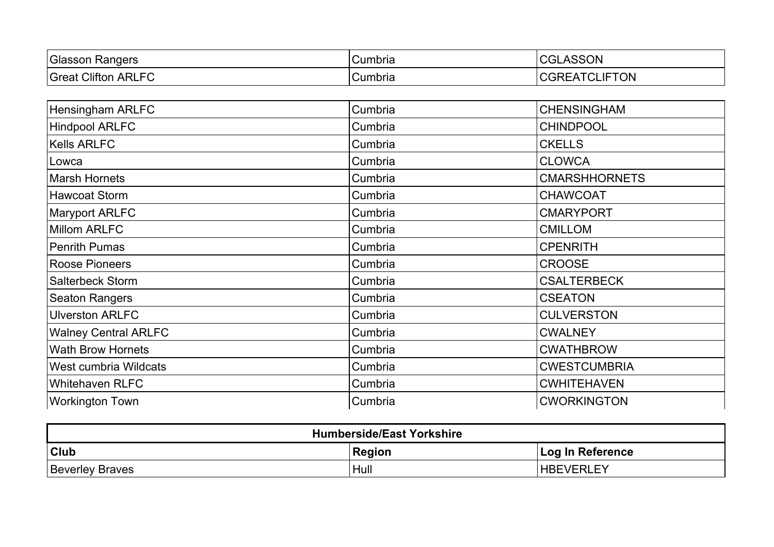| Glasson<br>Rangers                        | Cumbria | <b>ASSON</b><br>uut                 |
|-------------------------------------------|---------|-------------------------------------|
| <b>ARLFC</b><br><b>Great</b><br>Clifton / | Cumbria | <b>IFTON</b><br><b>CLIF</b><br>∵⊣∀ڧ |

| Hensingham ARLFC            | Cumbria | <b>CHENSINGHAM</b>   |
|-----------------------------|---------|----------------------|
| <b>Hindpool ARLFC</b>       | Cumbria | <b>CHINDPOOL</b>     |
| <b>Kells ARLFC</b>          | Cumbria | <b>CKELLS</b>        |
| Lowca                       | Cumbria | <b>CLOWCA</b>        |
| <b>Marsh Hornets</b>        | Cumbria | <b>CMARSHHORNETS</b> |
| <b>Hawcoat Storm</b>        | Cumbria | <b>CHAWCOAT</b>      |
| <b>Maryport ARLFC</b>       | Cumbria | <b>CMARYPORT</b>     |
| <b>Millom ARLFC</b>         | Cumbria | <b>CMILLOM</b>       |
| <b>Penrith Pumas</b>        | Cumbria | <b>CPENRITH</b>      |
| <b>Roose Pioneers</b>       | Cumbria | <b>CROOSE</b>        |
| <b>Salterbeck Storm</b>     | Cumbria | <b>CSALTERBECK</b>   |
| <b>Seaton Rangers</b>       | Cumbria | <b>CSEATON</b>       |
| <b>Ulverston ARLFC</b>      | Cumbria | <b>CULVERSTON</b>    |
| <b>Walney Central ARLFC</b> | Cumbria | <b>CWALNEY</b>       |
| <b>Wath Brow Hornets</b>    | Cumbria | <b>CWATHBROW</b>     |
| West cumbria Wildcats       | Cumbria | <b>CWESTCUMBRIA</b>  |
| <b>Whitehaven RLFC</b>      | Cumbria | <b>CWHITEHAVEN</b>   |
| <b>Workington Town</b>      | Cumbria | <b>CWORKINGTON</b>   |

| <b>Humberside/East Yorkshire</b> |               |                  |
|----------------------------------|---------------|------------------|
| <b>Club</b>                      | <b>Region</b> | Log In Reference |
| <b>Beverley Braves</b>           | Hull          | <b>HBEVERLEY</b> |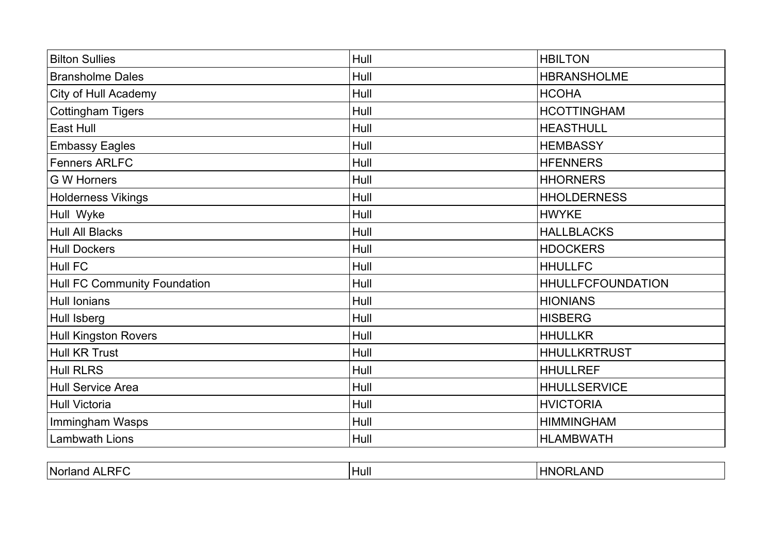| <b>Bilton Sullies</b>        | Hull | <b>HBILTON</b>           |
|------------------------------|------|--------------------------|
| <b>Bransholme Dales</b>      | Hull | <b>HBRANSHOLME</b>       |
| <b>City of Hull Academy</b>  | Hull | <b>HCOHA</b>             |
| <b>Cottingham Tigers</b>     | Hull | <b>HCOTTINGHAM</b>       |
| East Hull                    | Hull | <b>HEASTHULL</b>         |
| <b>Embassy Eagles</b>        | Hull | <b>HEMBASSY</b>          |
| <b>Fenners ARLFC</b>         | Hull | <b>HFENNERS</b>          |
| <b>G W Horners</b>           | Hull | <b>HHORNERS</b>          |
| <b>Holderness Vikings</b>    | Hull | <b>HHOLDERNESS</b>       |
| Hull Wyke                    | Hull | <b>HWYKE</b>             |
| <b>Hull All Blacks</b>       | Hull | <b>HALLBLACKS</b>        |
| <b>Hull Dockers</b>          | Hull | <b>HDOCKERS</b>          |
| Hull FC                      | Hull | <b>HHULLFC</b>           |
| Hull FC Community Foundation | Hull | <b>HHULLFCFOUNDATION</b> |
| <b>Hull Ionians</b>          | Hull | <b>HIONIANS</b>          |
| Hull Isberg                  | Hull | <b>HISBERG</b>           |
| <b>Hull Kingston Rovers</b>  | Hull | <b>HHULLKR</b>           |
| <b>Hull KR Trust</b>         | Hull | <b>HHULLKRTRUST</b>      |
| <b>Hull RLRS</b>             | Hull | <b>HHULLREF</b>          |
| <b>Hull Service Area</b>     | Hull | <b>HHULLSERVICE</b>      |
| <b>Hull Victoria</b>         | Hull | <b>HVICTORIA</b>         |
| Immingham Wasps              | Hull | <b>HIMMINGHAM</b>        |
| <b>Lambwath Lions</b>        | Hull | <b>HLAMBWATH</b>         |
|                              |      |                          |

| .RF<br>I Noria | Hull | ANL<br><b>HN</b><br>. )R' |
|----------------|------|---------------------------|
|----------------|------|---------------------------|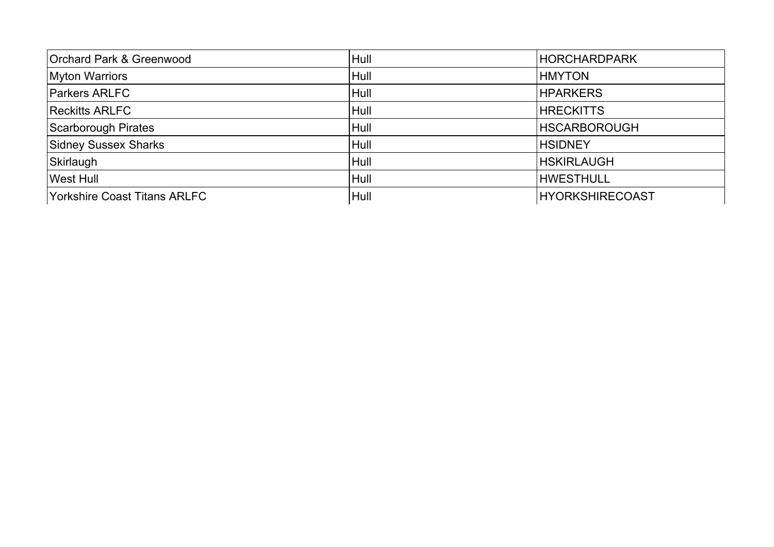| Orchard Park & Greenwood            | Hull | <b>HORCHARDPARK</b>    |
|-------------------------------------|------|------------------------|
| <b>Myton Warriors</b>               | Hull | <b>HMYTON</b>          |
| <b>Parkers ARLFC</b>                | Hull | <b>HPARKERS</b>        |
| <b>Reckitts ARLFC</b>               | Hull | <b>HRECKITTS</b>       |
| Scarborough Pirates                 | Hull | <b>HSCARBOROUGH</b>    |
| Sidney Sussex Sharks                | Hull | <b>HSIDNEY</b>         |
| Skirlaugh                           | Hull | <b>HSKIRLAUGH</b>      |
| <b>West Hull</b>                    | Hull | <b>HWESTHULL</b>       |
| <b>Yorkshire Coast Titans ARLFC</b> | Hull | <b>HYORKSHIRECOAST</b> |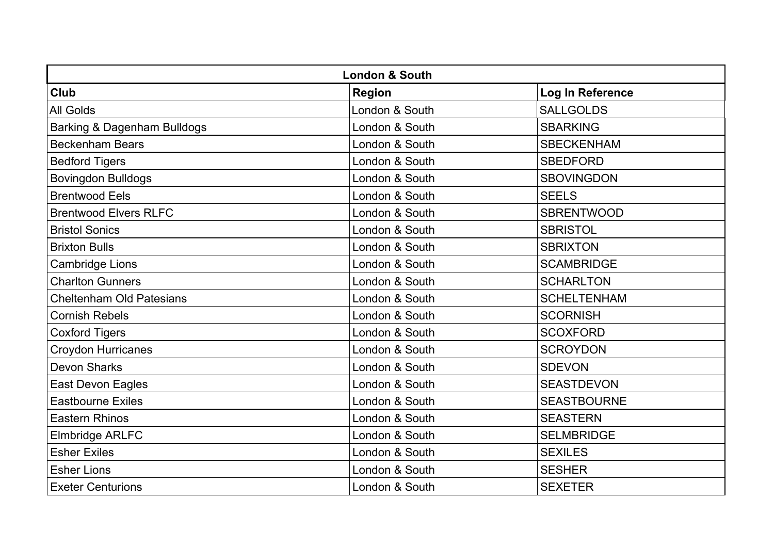| <b>London &amp; South</b>              |                |                    |
|----------------------------------------|----------------|--------------------|
| <b>Club</b>                            | <b>Region</b>  | Log In Reference   |
| <b>All Golds</b>                       | London & South | <b>SALLGOLDS</b>   |
| <b>Barking &amp; Dagenham Bulldogs</b> | London & South | <b>SBARKING</b>    |
| <b>Beckenham Bears</b>                 | London & South | <b>SBECKENHAM</b>  |
| <b>Bedford Tigers</b>                  | London & South | <b>SBEDFORD</b>    |
| <b>Bovingdon Bulldogs</b>              | London & South | <b>SBOVINGDON</b>  |
| <b>Brentwood Eels</b>                  | London & South | <b>SEELS</b>       |
| <b>Brentwood Elvers RLFC</b>           | London & South | <b>SBRENTWOOD</b>  |
| <b>Bristol Sonics</b>                  | London & South | <b>SBRISTOL</b>    |
| <b>Brixton Bulls</b>                   | London & South | <b>SBRIXTON</b>    |
| <b>Cambridge Lions</b>                 | London & South | <b>SCAMBRIDGE</b>  |
| <b>Charlton Gunners</b>                | London & South | <b>SCHARLTON</b>   |
| <b>Cheltenham Old Patesians</b>        | London & South | <b>SCHELTENHAM</b> |
| <b>Cornish Rebels</b>                  | London & South | <b>SCORNISH</b>    |
| <b>Coxford Tigers</b>                  | London & South | <b>SCOXFORD</b>    |
| <b>Croydon Hurricanes</b>              | London & South | <b>SCROYDON</b>    |
| <b>Devon Sharks</b>                    | London & South | <b>SDEVON</b>      |
| East Devon Eagles                      | London & South | <b>SEASTDEVON</b>  |
| <b>Eastbourne Exiles</b>               | London & South | <b>SEASTBOURNE</b> |
| <b>Eastern Rhinos</b>                  | London & South | <b>SEASTERN</b>    |
| Elmbridge ARLFC                        | London & South | <b>SELMBRIDGE</b>  |
| <b>Esher Exiles</b>                    | London & South | <b>SEXILES</b>     |
| <b>Esher Lions</b>                     | London & South | <b>SESHER</b>      |
| <b>Exeter Centurions</b>               | London & South | <b>SEXETER</b>     |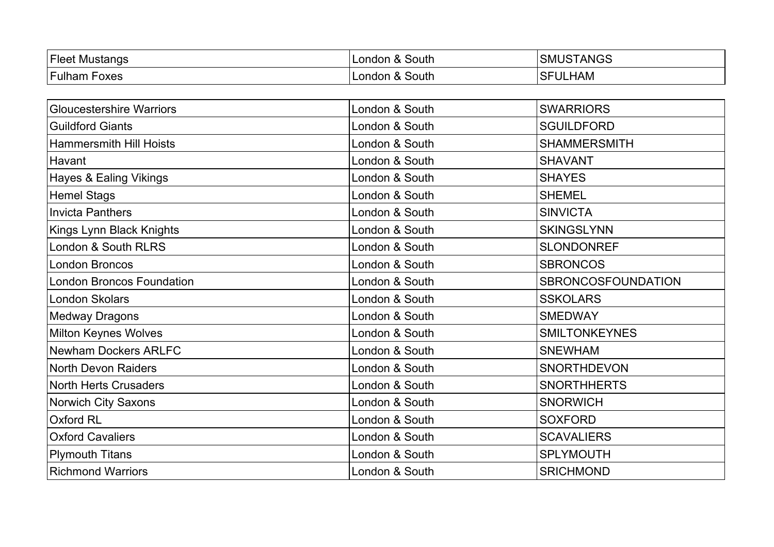| $ $ Fleet<br>Mustangs | South<br>London<br>$\alpha$ | ANGS<br>י<br>∵ا∨اد |
|-----------------------|-----------------------------|--------------------|
| .                     | South                       | HAM                |
| ulham                 | London                      | OГ                 |
| Foxes                 | ~                           | ີ                  |
|                       |                             |                    |

| <b>Gloucestershire Warriors</b>  | London & South | <b>SWARRIORS</b>     |
|----------------------------------|----------------|----------------------|
| <b>Guildford Giants</b>          | London & South | <b>SGUILDFORD</b>    |
| <b>Hammersmith Hill Hoists</b>   | London & South | <b>SHAMMERSMITH</b>  |
| Havant                           | London & South | <b>SHAVANT</b>       |
| Hayes & Ealing Vikings           | London & South | <b>SHAYES</b>        |
| <b>Hemel Stags</b>               | London & South | <b>SHEMEL</b>        |
| <b>Invicta Panthers</b>          | London & South | <b>SINVICTA</b>      |
| Kings Lynn Black Knights         | London & South | <b>SKINGSLYNN</b>    |
| London & South RLRS              | London & South | <b>SLONDONREF</b>    |
| <b>London Broncos</b>            | London & South | <b>SBRONCOS</b>      |
| <b>London Broncos Foundation</b> | London & South | SBRONCOSFOUNDATION   |
| London Skolars                   | London & South | <b>SSKOLARS</b>      |
| <b>Medway Dragons</b>            | London & South | <b>SMEDWAY</b>       |
| <b>Milton Keynes Wolves</b>      | London & South | <b>SMILTONKEYNES</b> |
| <b>Newham Dockers ARLFC</b>      | London & South | <b>SNEWHAM</b>       |
| <b>North Devon Raiders</b>       | London & South | <b>SNORTHDEVON</b>   |
| <b>North Herts Crusaders</b>     | London & South | <b>SNORTHHERTS</b>   |
| <b>Norwich City Saxons</b>       | London & South | <b>SNORWICH</b>      |
| Oxford RL                        | London & South | <b>SOXFORD</b>       |
| <b>Oxford Cavaliers</b>          | London & South | <b>SCAVALIERS</b>    |
| <b>Plymouth Titans</b>           | London & South | <b>SPLYMOUTH</b>     |
| <b>Richmond Warriors</b>         | London & South | <b>SRICHMOND</b>     |
|                                  |                |                      |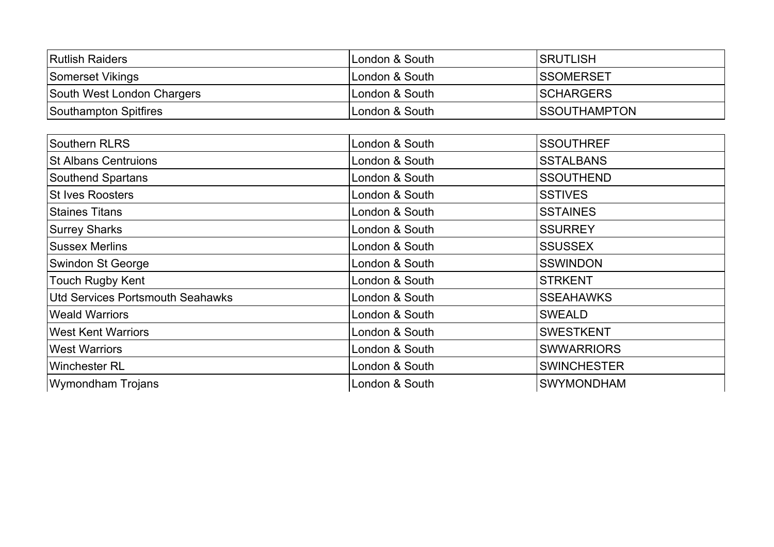| <b>Rutlish Raiders</b>     | ILondon & South | ISRUTLISH            |
|----------------------------|-----------------|----------------------|
| Somerset Vikings           | London & South  | ISSOMERSET           |
| South West London Chargers | London & South  | <b>ISCHARGERS</b>    |
| Southampton Spitfires      | ILondon & South | <b>ISSOUTHAMPTON</b> |

| Southern RLRS                           | London & South | <b>SSOUTHREF</b>   |
|-----------------------------------------|----------------|--------------------|
| <b>St Albans Centruions</b>             | London & South | <b>SSTALBANS</b>   |
| Southend Spartans                       | London & South | <b>SSOUTHEND</b>   |
| <b>St Ives Roosters</b>                 | London & South | <b>SSTIVES</b>     |
| <b>Staines Titans</b>                   | London & South | <b>SSTAINES</b>    |
| <b>Surrey Sharks</b>                    | London & South | <b>SSURREY</b>     |
| <b>Sussex Merlins</b>                   | London & South | <b>SSUSSEX</b>     |
| Swindon St George                       | London & South | <b>SSWINDON</b>    |
| Touch Rugby Kent                        | London & South | <b>STRKENT</b>     |
| <b>Utd Services Portsmouth Seahawks</b> | London & South | <b>SSEAHAWKS</b>   |
| <b>Weald Warriors</b>                   | London & South | <b>SWEALD</b>      |
| <b>West Kent Warriors</b>               | London & South | <b>SWESTKENT</b>   |
| <b>West Warriors</b>                    | London & South | <b>SWWARRIORS</b>  |
| Winchester RL                           | London & South | <b>SWINCHESTER</b> |
| <b>Wymondham Trojans</b>                | London & South | <b>SWYMONDHAM</b>  |
|                                         |                |                    |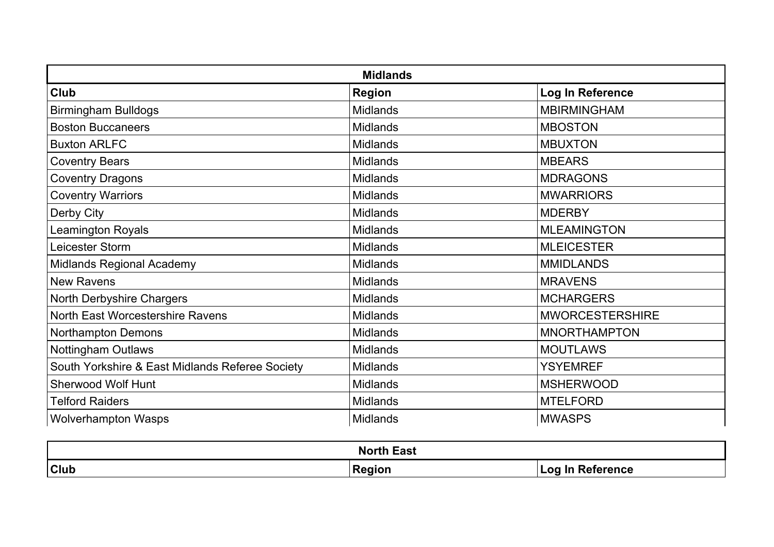| <b>Midlands</b>                                 |                 |                        |
|-------------------------------------------------|-----------------|------------------------|
| <b>Club</b>                                     | <b>Region</b>   | Log In Reference       |
| <b>Birmingham Bulldogs</b>                      | <b>Midlands</b> | <b>MBIRMINGHAM</b>     |
| <b>Boston Buccaneers</b>                        | <b>Midlands</b> | <b>MBOSTON</b>         |
| <b>Buxton ARLFC</b>                             | <b>Midlands</b> | <b>MBUXTON</b>         |
| <b>Coventry Bears</b>                           | <b>Midlands</b> | <b>MBEARS</b>          |
| <b>Coventry Dragons</b>                         | <b>Midlands</b> | <b>MDRAGONS</b>        |
| <b>Coventry Warriors</b>                        | <b>Midlands</b> | <b>MWARRIORS</b>       |
| Derby City                                      | <b>Midlands</b> | <b>MDERBY</b>          |
| <b>Leamington Royals</b>                        | <b>Midlands</b> | <b>MLEAMINGTON</b>     |
| Leicester Storm                                 | <b>Midlands</b> | <b>MLEICESTER</b>      |
| <b>Midlands Regional Academy</b>                | <b>Midlands</b> | <b>MMIDLANDS</b>       |
| <b>New Ravens</b>                               | <b>Midlands</b> | <b>MRAVENS</b>         |
| North Derbyshire Chargers                       | <b>Midlands</b> | <b>MCHARGERS</b>       |
| North East Worcestershire Ravens                | <b>Midlands</b> | <b>MWORCESTERSHIRE</b> |
| <b>Northampton Demons</b>                       | <b>Midlands</b> | <b>MNORTHAMPTON</b>    |
| <b>Nottingham Outlaws</b>                       | <b>Midlands</b> | <b>MOUTLAWS</b>        |
| South Yorkshire & East Midlands Referee Society | <b>Midlands</b> | <b>YSYEMREF</b>        |
| <b>Sherwood Wolf Hunt</b>                       | <b>Midlands</b> | <b>MSHERWOOD</b>       |
| <b>Telford Raiders</b>                          | <b>Midlands</b> | <b>MTELFORD</b>        |
| <b>Wolverhampton Wasps</b>                      | <b>Midlands</b> | <b>MWASPS</b>          |

| <b>North East</b> |               |                         |
|-------------------|---------------|-------------------------|
| <b>Club</b>       | <b>Region</b> | <b>Log In Reference</b> |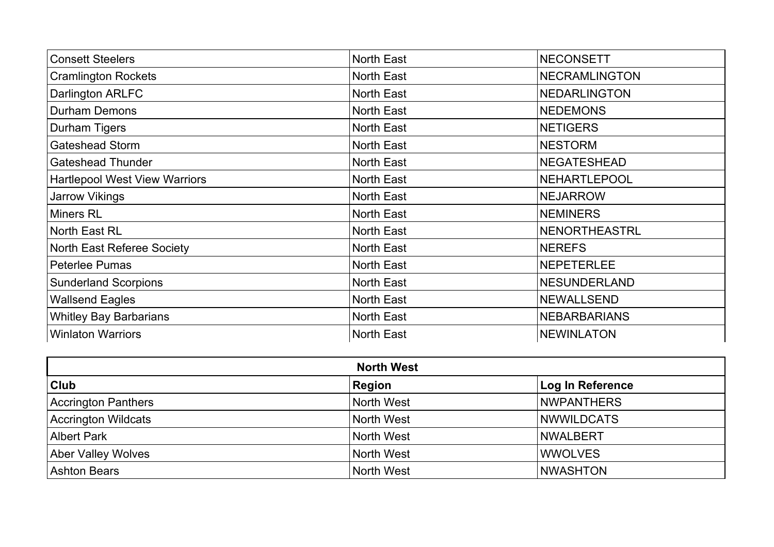| <b>Consett Steelers</b>              | <b>North East</b> | <b>NECONSETT</b>     |
|--------------------------------------|-------------------|----------------------|
| <b>Cramlington Rockets</b>           | <b>North East</b> | <b>NECRAMLINGTON</b> |
| Darlington ARLFC                     | <b>North East</b> | <b>NEDARLINGTON</b>  |
| <b>Durham Demons</b>                 | <b>North East</b> | <b>NEDEMONS</b>      |
| <b>Durham Tigers</b>                 | <b>North East</b> | <b>NETIGERS</b>      |
| <b>Gateshead Storm</b>               | <b>North East</b> | <b>NESTORM</b>       |
| <b>Gateshead Thunder</b>             | <b>North East</b> | <b>NEGATESHEAD</b>   |
| <b>Hartlepool West View Warriors</b> | North East        | NEHARTLEPOOL         |
| <b>Jarrow Vikings</b>                | <b>North East</b> | <b>NEJARROW</b>      |
| Miners RL                            | <b>North East</b> | <b>NEMINERS</b>      |
| North East RL                        | <b>North East</b> | NENORTHEASTRL        |
| North East Referee Society           | <b>North East</b> | <b>NEREFS</b>        |
| <b>Peterlee Pumas</b>                | North East        | <b>NEPETERLEE</b>    |
| <b>Sunderland Scorpions</b>          | <b>North East</b> | <b>NESUNDERLAND</b>  |
| <b>Wallsend Eagles</b>               | <b>North East</b> | NEWALLSEND           |
| <b>Whitley Bay Barbarians</b>        | <b>North East</b> | <b>NEBARBARIANS</b>  |
| <b>Winlaton Warriors</b>             | <b>North East</b> | <b>NEWINLATON</b>    |

| <b>North West</b>   |               |                         |
|---------------------|---------------|-------------------------|
| $ $ Club            | <b>Region</b> | <b>Log In Reference</b> |
| Accrington Panthers | North West    | <b>NWPANTHERS</b>       |
| Accrington Wildcats | North West    | <b>NWWILDCATS</b>       |
| Albert Park         | North West    | <b>NWALBERT</b>         |
| Aber Valley Wolves  | North West    | <b>WWOLVES</b>          |
| <b>Ashton Bears</b> | North West    | <b>NWASHTON</b>         |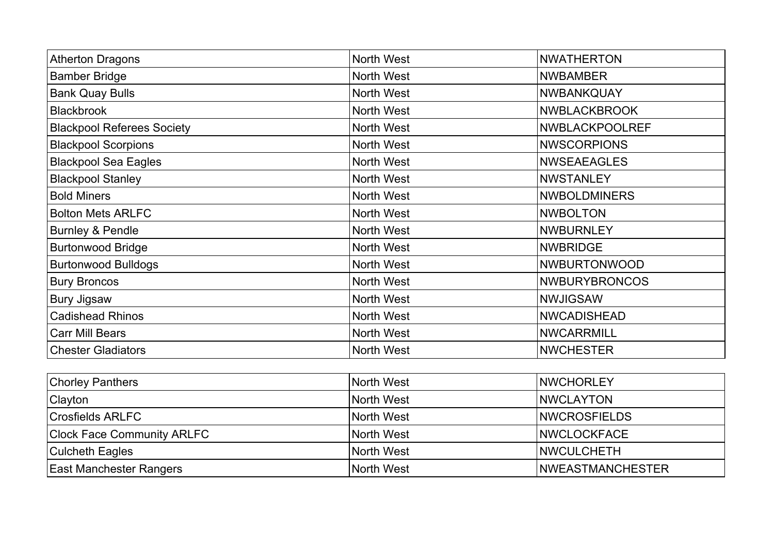| <b>Atherton Dragons</b>           | North West        | <b>NWATHERTON</b>    |
|-----------------------------------|-------------------|----------------------|
| <b>Bamber Bridge</b>              | <b>North West</b> | <b>NWBAMBER</b>      |
| <b>Bank Quay Bulls</b>            | North West        | <b>NWBANKQUAY</b>    |
| <b>Blackbrook</b>                 | North West        | <b>NWBLACKBROOK</b>  |
| <b>Blackpool Referees Society</b> | North West        | NWBLACKPOOLREF       |
| <b>Blackpool Scorpions</b>        | North West        | <b>NWSCORPIONS</b>   |
| <b>Blackpool Sea Eagles</b>       | North West        | <b>NWSEAEAGLES</b>   |
| <b>Blackpool Stanley</b>          | North West        | <b>NWSTANLEY</b>     |
| <b>Bold Miners</b>                | North West        | <b>NWBOLDMINERS</b>  |
| <b>Bolton Mets ARLFC</b>          | North West        | <b>NWBOLTON</b>      |
| <b>Burnley &amp; Pendle</b>       | North West        | <b>NWBURNLEY</b>     |
| <b>Burtonwood Bridge</b>          | North West        | <b>NWBRIDGE</b>      |
| <b>Burtonwood Bulldogs</b>        | North West        | <b>NWBURTONWOOD</b>  |
| <b>Bury Broncos</b>               | North West        | <b>NWBURYBRONCOS</b> |
| <b>Bury Jigsaw</b>                | North West        | <b>NWJIGSAW</b>      |
| <b>Cadishead Rhinos</b>           | North West        | <b>NWCADISHEAD</b>   |
| <b>Carr Mill Bears</b>            | North West        | <b>NWCARRMILL</b>    |
| <b>Chester Gladiators</b>         | <b>North West</b> | <b>NWCHESTER</b>     |
|                                   |                   |                      |

| <b>Chorley Panthers</b>           | North West | <b>INWCHORLEY</b>        |
|-----------------------------------|------------|--------------------------|
| <b>Clayton</b>                    | North West | <b>INWCLAYTON</b>        |
| Crosfields ARLFC                  | North West | <b>INWCROSFIELDS</b>     |
| <b>Clock Face Community ARLFC</b> | North West | <b>INWCLOCKFACE</b>      |
| <b>Culcheth Eagles</b>            | North West | <b>INWCULCHETH</b>       |
| <b>East Manchester Rangers</b>    | North West | <b>INWEASTMANCHESTER</b> |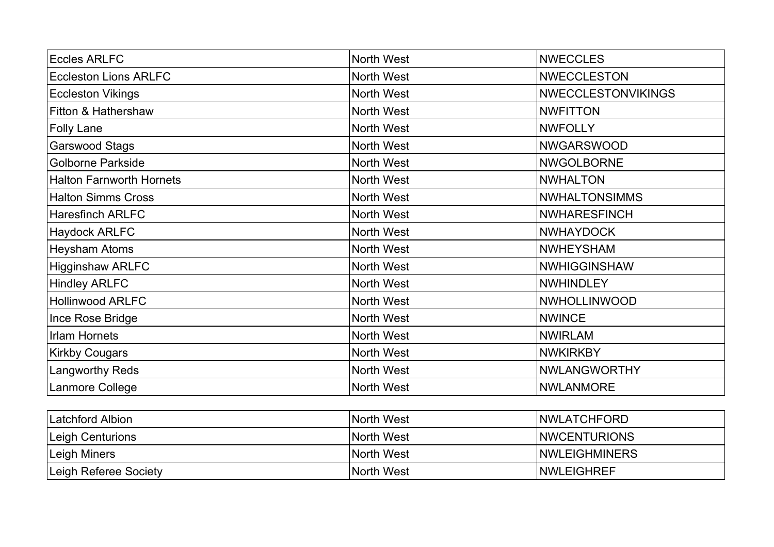| <b>Eccles ARLFC</b>             | North West        | <b>NWECCLES</b>           |
|---------------------------------|-------------------|---------------------------|
| <b>Eccleston Lions ARLFC</b>    | North West        | <b>NWECCLESTON</b>        |
| <b>Eccleston Vikings</b>        | North West        | <b>NWECCLESTONVIKINGS</b> |
| Fitton & Hathershaw             | North West        | <b>NWFITTON</b>           |
| <b>Folly Lane</b>               | North West        | <b>NWFOLLY</b>            |
| Garswood Stags                  | North West        | <b>NWGARSWOOD</b>         |
| <b>Golborne Parkside</b>        | North West        | <b>NWGOLBORNE</b>         |
| <b>Halton Farnworth Hornets</b> | North West        | <b>NWHALTON</b>           |
| <b>Halton Simms Cross</b>       | North West        | <b>NWHALTONSIMMS</b>      |
| <b>Haresfinch ARLFC</b>         | North West        | <b>NWHARESFINCH</b>       |
| <b>Haydock ARLFC</b>            | North West        | <b>NWHAYDOCK</b>          |
| <b>Heysham Atoms</b>            | North West        | <b>NWHEYSHAM</b>          |
| <b>Higginshaw ARLFC</b>         | North West        | <b>NWHIGGINSHAW</b>       |
| <b>Hindley ARLFC</b>            | North West        | <b>NWHINDLEY</b>          |
| <b>Hollinwood ARLFC</b>         | North West        | <b>NWHOLLINWOOD</b>       |
| Ince Rose Bridge                | North West        | <b>NWINCE</b>             |
| <b>Irlam Hornets</b>            | North West        | <b>NWIRLAM</b>            |
| <b>Kirkby Cougars</b>           | North West        | <b>NWKIRKBY</b>           |
| <b>Langworthy Reds</b>          | North West        | <b>NWLANGWORTHY</b>       |
| Lanmore College                 | North West        | <b>NWLANMORE</b>          |
|                                 |                   |                           |
| I atchford Albion               | North <i>Wort</i> | NIMI ATCHEODD             |

| <b>Latchford Albion</b> | North West | <b>INWLATCHFORD</b>   |
|-------------------------|------------|-----------------------|
| Leigh Centurions        | North West | <b>INWCENTURIONS</b>  |
| Leigh Miners            | North West | <b>INWLEIGHMINERS</b> |
| Leigh Referee Society   | North West | <b>INWLEIGHREF</b>    |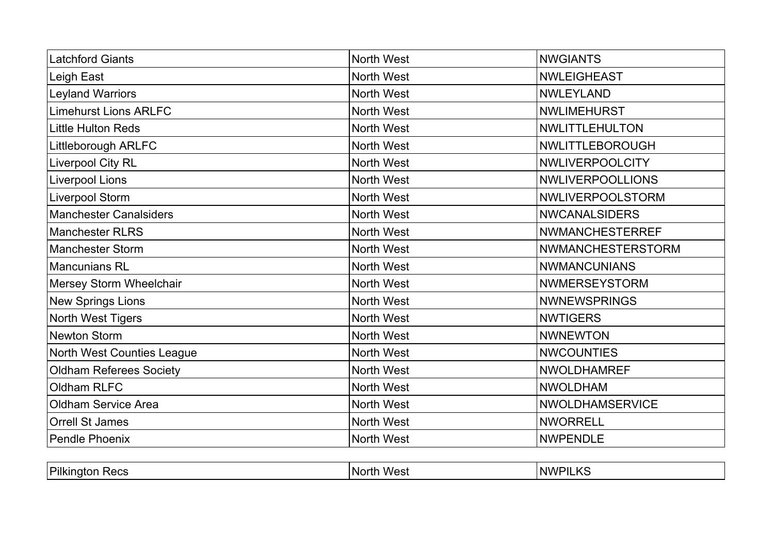| <b>Latchford Giants</b>        | North West | <b>NWGIANTS</b>          |
|--------------------------------|------------|--------------------------|
| Leigh East                     | North West | <b>NWLEIGHEAST</b>       |
| <b>Leyland Warriors</b>        | North West | <b>NWLEYLAND</b>         |
| <b>Limehurst Lions ARLFC</b>   | North West | <b>NWLIMEHURST</b>       |
| Little Hulton Reds             | North West | <b>NWLITTLEHULTON</b>    |
| Littleborough ARLFC            | North West | NWLITTLEBOROUGH          |
| Liverpool City RL              | North West | <b>NWLIVERPOOLCITY</b>   |
| Liverpool Lions                | North West | <b>NWLIVERPOOLLIONS</b>  |
| Liverpool Storm                | North West | NWLIVERPOOLSTORM         |
| <b>Manchester Canalsiders</b>  | North West | <b>NWCANALSIDERS</b>     |
| <b>Manchester RLRS</b>         | North West | <b>NWMANCHESTERREF</b>   |
| <b>Manchester Storm</b>        | North West | <b>NWMANCHESTERSTORM</b> |
| <b>Mancunians RL</b>           | North West | <b>NWMANCUNIANS</b>      |
| Mersey Storm Wheelchair        | North West | <b>NWMERSEYSTORM</b>     |
| <b>New Springs Lions</b>       | North West | <b>NWNEWSPRINGS</b>      |
| North West Tigers              | North West | <b>NWTIGERS</b>          |
| <b>Newton Storm</b>            | North West | <b>NWNEWTON</b>          |
| North West Counties League     | North West | <b>NWCOUNTIES</b>        |
| <b>Oldham Referees Society</b> | North West | <b>NWOLDHAMREF</b>       |
| Oldham RLFC                    | North West | <b>NWOLDHAM</b>          |
| Oldham Service Area            | North West | <b>NWOLDHAMSERVICE</b>   |
| <b>Orrell St James</b>         | North West | <b>NWORRELL</b>          |
| <b>Pendle Phoenix</b>          | North West | <b>NWPENDLE</b>          |

| Pilki.<br>1003 | w<br>- INF | - 11<br>. NP<br>.<br>$\overline{\phantom{a}}$ |
|----------------|------------|-----------------------------------------------|
|                |            |                                               |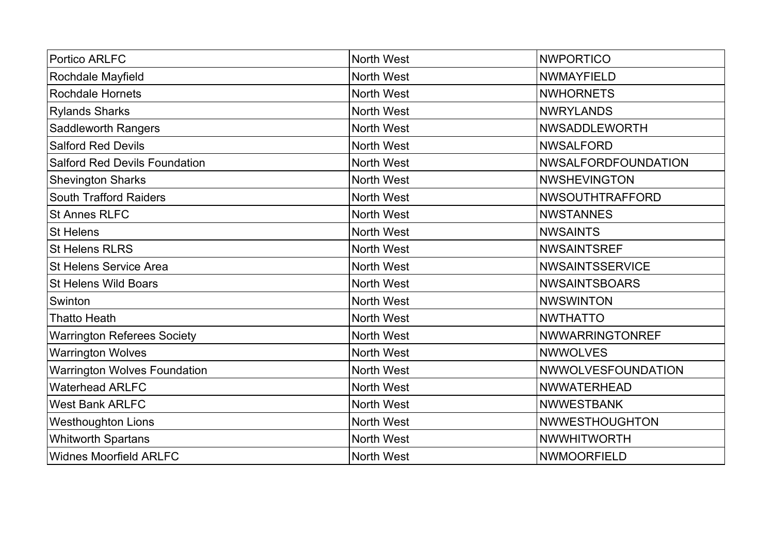| <b>Portico ARLFC</b>                 | North West        | <b>NWPORTICO</b>          |
|--------------------------------------|-------------------|---------------------------|
| Rochdale Mayfield                    | <b>North West</b> | <b>NWMAYFIELD</b>         |
| <b>Rochdale Hornets</b>              | North West        | <b>NWHORNETS</b>          |
| <b>Rylands Sharks</b>                | North West        | <b>NWRYLANDS</b>          |
| <b>Saddleworth Rangers</b>           | North West        | <b>NWSADDLEWORTH</b>      |
| <b>Salford Red Devils</b>            | <b>North West</b> | <b>NWSALFORD</b>          |
| <b>Salford Red Devils Foundation</b> | North West        | NWSALFORDFOUNDATION       |
| <b>Shevington Sharks</b>             | North West        | <b>NWSHEVINGTON</b>       |
| <b>South Trafford Raiders</b>        | North West        | <b>NWSOUTHTRAFFORD</b>    |
| <b>St Annes RLFC</b>                 | North West        | <b>NWSTANNES</b>          |
| <b>St Helens</b>                     | North West        | <b>NWSAINTS</b>           |
| <b>St Helens RLRS</b>                | <b>North West</b> | <b>NWSAINTSREF</b>        |
| <b>St Helens Service Area</b>        | <b>North West</b> | <b>NWSAINTSSERVICE</b>    |
| <b>St Helens Wild Boars</b>          | North West        | <b>NWSAINTSBOARS</b>      |
| Swinton                              | <b>North West</b> | <b>NWSWINTON</b>          |
| <b>Thatto Heath</b>                  | North West        | <b>NWTHATTO</b>           |
| <b>Warrington Referees Society</b>   | North West        | <b>NWWARRINGTONREF</b>    |
| <b>Warrington Wolves</b>             | North West        | <b>NWWOLVES</b>           |
| <b>Warrington Wolves Foundation</b>  | North West        | <b>NWWOLVESFOUNDATION</b> |
| <b>Waterhead ARLFC</b>               | <b>North West</b> | <b>NWWATERHEAD</b>        |
| <b>West Bank ARLFC</b>               | North West        | <b>NWWESTBANK</b>         |
| <b>Westhoughton Lions</b>            | North West        | <b>NWWESTHOUGHTON</b>     |
| <b>Whitworth Spartans</b>            | <b>North West</b> | <b>NWWHITWORTH</b>        |
| <b>Widnes Moorfield ARLFC</b>        | <b>North West</b> | <b>NWMOORFIELD</b>        |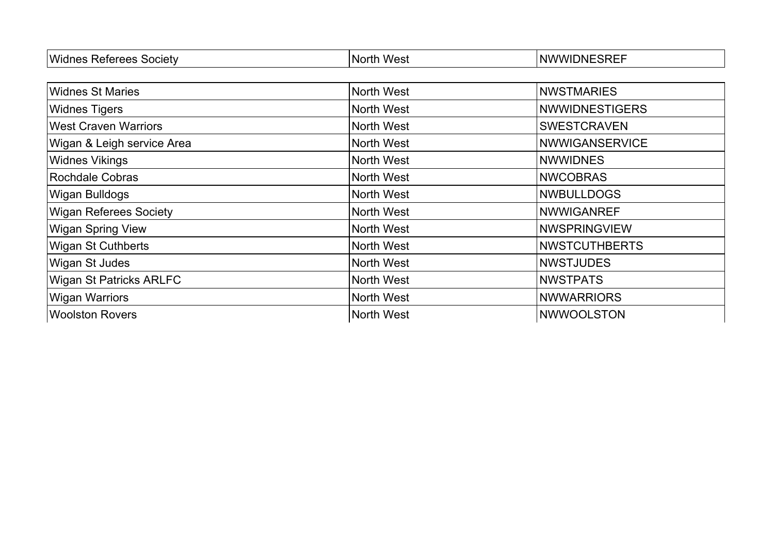| Wio.<br>ociety<br>``<br>ا دا د | <b>Norti</b><br>$\overline{\mathbf{v}}$<br>M.<br>ີ | . NWW'<br>JNE<br>- - - -<br>5R. |
|--------------------------------|----------------------------------------------------|---------------------------------|

| <b>Widnes St Maries</b>        | North West | <b>NWSTMARIES</b>     |
|--------------------------------|------------|-----------------------|
| <b>Widnes Tigers</b>           | North West | <b>NWWIDNESTIGERS</b> |
| <b>West Craven Warriors</b>    | North West | <b>SWESTCRAVEN</b>    |
| Wigan & Leigh service Area     | North West | <b>NWWIGANSERVICE</b> |
| <b>Widnes Vikings</b>          | North West | <b>NWWIDNES</b>       |
| Rochdale Cobras                | North West | <b>NWCOBRAS</b>       |
| <b>Wigan Bulldogs</b>          | North West | <b>NWBULLDOGS</b>     |
| <b>Wigan Referees Society</b>  | North West | <b>NWWIGANREF</b>     |
| <b>Wigan Spring View</b>       | North West | <b>NWSPRINGVIEW</b>   |
| <b>Wigan St Cuthberts</b>      | North West | <b>NWSTCUTHBERTS</b>  |
| <b>Wigan St Judes</b>          | North West | <b>NWSTJUDES</b>      |
| <b>Wigan St Patricks ARLFC</b> | North West | <b>NWSTPATS</b>       |
| <b>Wigan Warriors</b>          | North West | <b>NWWARRIORS</b>     |
| <b>Woolston Rovers</b>         | North West | NWWOOLSTON            |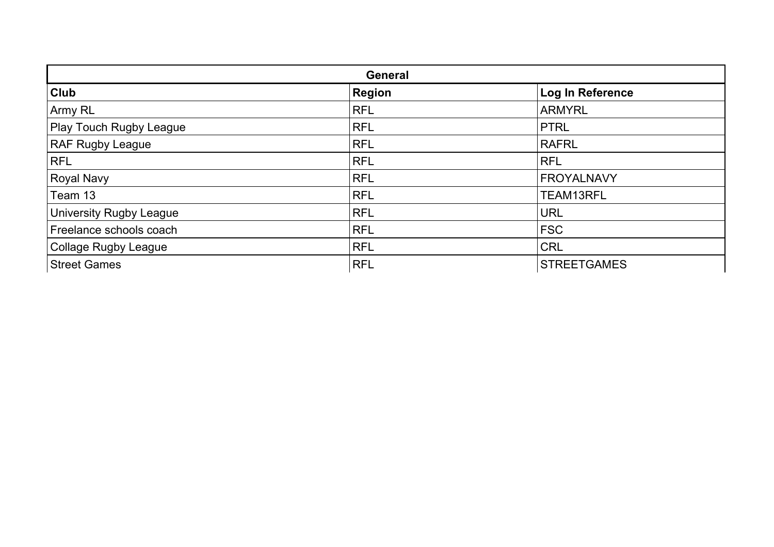| <b>General</b>                 |               |                    |
|--------------------------------|---------------|--------------------|
| <b>Club</b>                    | <b>Region</b> | Log In Reference   |
| Army RL                        | <b>RFL</b>    | <b>ARMYRL</b>      |
| <b>Play Touch Rugby League</b> | <b>RFL</b>    | <b>PTRL</b>        |
| <b>RAF Rugby League</b>        | <b>RFL</b>    | <b>RAFRL</b>       |
| <b>RFL</b>                     | <b>RFL</b>    | <b>RFL</b>         |
| <b>Royal Navy</b>              | <b>RFL</b>    | <b>FROYALNAVY</b>  |
| Team 13                        | <b>RFL</b>    | TEAM13RFL          |
| <b>University Rugby League</b> | <b>RFL</b>    | <b>URL</b>         |
| Freelance schools coach        | <b>RFL</b>    | <b>FSC</b>         |
| Collage Rugby League           | <b>RFL</b>    | <b>CRL</b>         |
| <b>Street Games</b>            | <b>RFL</b>    | <b>STREETGAMES</b> |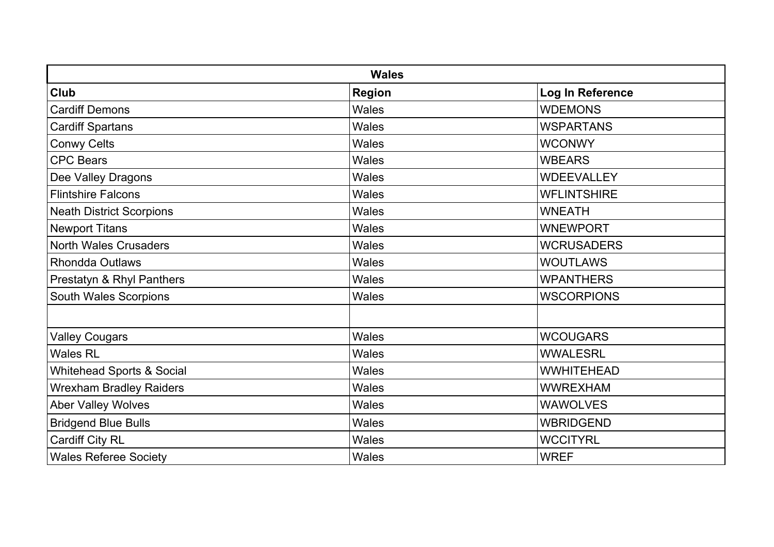| <b>Wales</b>                         |               |                    |
|--------------------------------------|---------------|--------------------|
| Club                                 | <b>Region</b> | Log In Reference   |
| <b>Cardiff Demons</b>                | Wales         | <b>WDEMONS</b>     |
| <b>Cardiff Spartans</b>              | Wales         | <b>WSPARTANS</b>   |
| <b>Conwy Celts</b>                   | Wales         | <b>WCONWY</b>      |
| <b>CPC Bears</b>                     | Wales         | <b>WBEARS</b>      |
| Dee Valley Dragons                   | <b>Wales</b>  | <b>WDEEVALLEY</b>  |
| <b>Flintshire Falcons</b>            | Wales         | <b>WFLINTSHIRE</b> |
| <b>Neath District Scorpions</b>      | Wales         | <b>WNEATH</b>      |
| <b>Newport Titans</b>                | Wales         | <b>WNEWPORT</b>    |
| <b>North Wales Crusaders</b>         | Wales         | <b>WCRUSADERS</b>  |
| <b>Rhondda Outlaws</b>               | <b>Wales</b>  | <b>WOUTLAWS</b>    |
| Prestatyn & Rhyl Panthers            | <b>Wales</b>  | <b>WPANTHERS</b>   |
| <b>South Wales Scorpions</b>         | Wales         | <b>WSCORPIONS</b>  |
|                                      |               |                    |
| <b>Valley Cougars</b>                | Wales         | <b>WCOUGARS</b>    |
| <b>Wales RL</b>                      | Wales         | <b>WWALESRL</b>    |
| <b>Whitehead Sports &amp; Social</b> | <b>Wales</b>  | <b>WWHITEHEAD</b>  |
| <b>Wrexham Bradley Raiders</b>       | <b>Wales</b>  | <b>WWREXHAM</b>    |
| <b>Aber Valley Wolves</b>            | Wales         | <b>WAWOLVES</b>    |
| <b>Bridgend Blue Bulls</b>           | <b>Wales</b>  | <b>WBRIDGEND</b>   |
| <b>Cardiff City RL</b>               | Wales         | <b>WCCITYRL</b>    |
| <b>Wales Referee Society</b>         | Wales         | <b>WREF</b>        |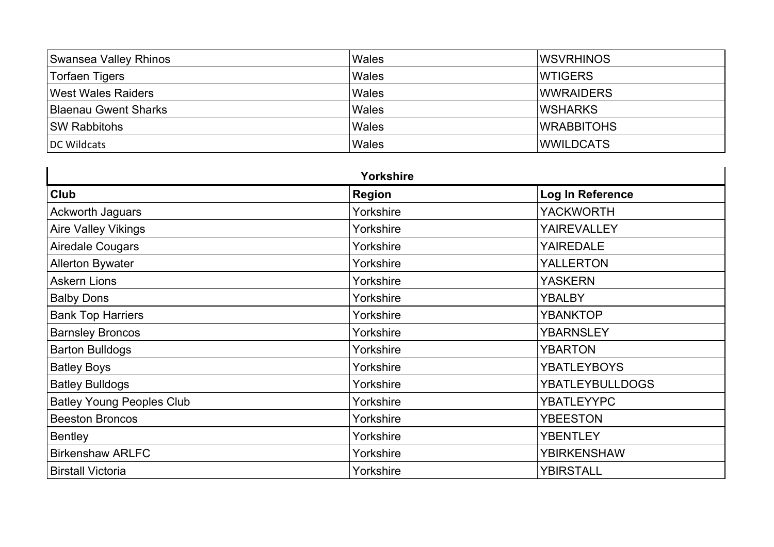| Swansea Valley Rhinos       | Wales | IWSVRHINOS        |
|-----------------------------|-------|-------------------|
| Torfaen Tigers              | Wales | <b>IWTIGERS</b>   |
| <b>West Wales Raiders</b>   | Wales | <b>WWRAIDERS</b>  |
| <b>Blaenau Gwent Sharks</b> | Wales | <b>IWSHARKS</b>   |
| <b>SW Rabbitohs</b>         | Wales | <b>WRABBITOHS</b> |
| DC Wildcats                 | Wales | <b>IWWILDCATS</b> |

| Yorkshire                        |               |                        |
|----------------------------------|---------------|------------------------|
| <b>Club</b>                      | <b>Region</b> | Log In Reference       |
| Ackworth Jaguars                 | Yorkshire     | <b>YACKWORTH</b>       |
| <b>Aire Valley Vikings</b>       | Yorkshire     | <b>YAIREVALLEY</b>     |
| Airedale Cougars                 | Yorkshire     | <b>YAIREDALE</b>       |
| <b>Allerton Bywater</b>          | Yorkshire     | <b>YALLERTON</b>       |
| <b>Askern Lions</b>              | Yorkshire     | <b>YASKERN</b>         |
| <b>Balby Dons</b>                | Yorkshire     | <b>YBALBY</b>          |
| <b>Bank Top Harriers</b>         | Yorkshire     | <b>YBANKTOP</b>        |
| <b>Barnsley Broncos</b>          | Yorkshire     | <b>YBARNSLEY</b>       |
| <b>Barton Bulldogs</b>           | Yorkshire     | <b>YBARTON</b>         |
| <b>Batley Boys</b>               | Yorkshire     | <b>YBATLEYBOYS</b>     |
| <b>Batley Bulldogs</b>           | Yorkshire     | <b>YBATLEYBULLDOGS</b> |
| <b>Batley Young Peoples Club</b> | Yorkshire     | <b>YBATLEYYPC</b>      |
| <b>Beeston Broncos</b>           | Yorkshire     | <b>YBEESTON</b>        |
| <b>Bentley</b>                   | Yorkshire     | <b>YBENTLEY</b>        |
| <b>Birkenshaw ARLFC</b>          | Yorkshire     | <b>YBIRKENSHAW</b>     |
| <b>Birstall Victoria</b>         | Yorkshire     | <b>YBIRSTALL</b>       |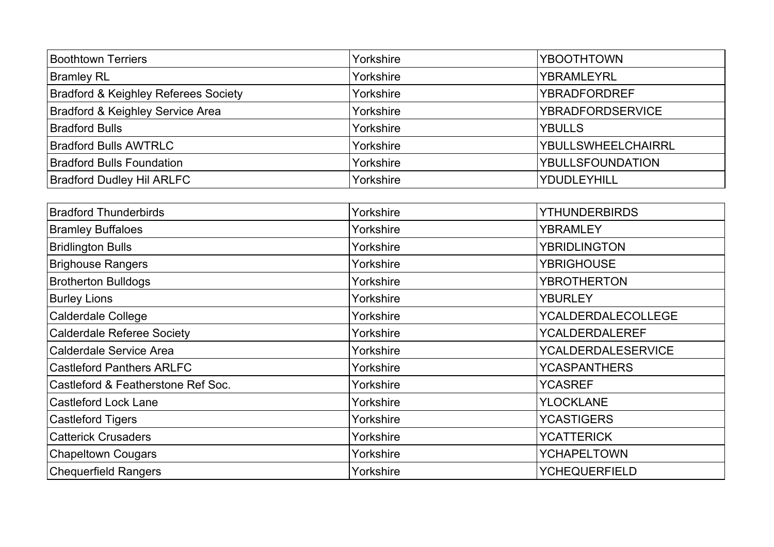| <b>Boothtown Terriers</b>                       | Yorkshire | <b>YBOOTHTOWN</b>         |
|-------------------------------------------------|-----------|---------------------------|
| <b>Bramley RL</b>                               | Yorkshire | YBRAMLEYRL                |
| <b>Bradford &amp; Keighley Referees Society</b> | Yorkshire | <b>YBRADFORDREF</b>       |
| Bradford & Keighley Service Area                | Yorkshire | <b>YBRADFORDSERVICE</b>   |
| <b>Bradford Bulls</b>                           | Yorkshire | <b>YBULLS</b>             |
| <b>Bradford Bulls AWTRLC</b>                    | Yorkshire | <b>YBULLSWHEELCHAIRRL</b> |
| <b>Bradford Bulls Foundation</b>                | Yorkshire | <b>YBULLSFOUNDATION</b>   |
| <b>Bradford Dudley Hil ARLFC</b>                | Yorkshire | YDUDLEYHILL               |

| <b>Bradford Thunderbirds</b>       | Yorkshire | <b>YTHUNDERBIRDS</b>      |
|------------------------------------|-----------|---------------------------|
| <b>Bramley Buffaloes</b>           | Yorkshire | YBRAMLEY                  |
| <b>Bridlington Bulls</b>           | Yorkshire | YBRIDLINGTON              |
| Brighouse Rangers                  | Yorkshire | <b>YBRIGHOUSE</b>         |
| <b>Brotherton Bulldogs</b>         | Yorkshire | <b>YBROTHERTON</b>        |
| <b>Burley Lions</b>                | Yorkshire | <b>YBURLEY</b>            |
| <b>Calderdale College</b>          | Yorkshire | <b>YCALDERDALECOLLEGE</b> |
| <b>Calderdale Referee Society</b>  | Yorkshire | YCALDERDALEREF            |
| Calderdale Service Area            | Yorkshire | YCALDERDALESERVICE        |
| <b>Castleford Panthers ARLFC</b>   | Yorkshire | <b>YCASPANTHERS</b>       |
| Castleford & Featherstone Ref Soc. | Yorkshire | <b>YCASREF</b>            |
| <b>Castleford Lock Lane</b>        | Yorkshire | <b>YLOCKLANE</b>          |
| <b>Castleford Tigers</b>           | Yorkshire | <b>YCASTIGERS</b>         |
| <b>Catterick Crusaders</b>         | Yorkshire | <b>YCATTERICK</b>         |
| <b>Chapeltown Cougars</b>          | Yorkshire | <b>YCHAPELTOWN</b>        |
| <b>Chequerfield Rangers</b>        | Yorkshire | <b>YCHEQUERFIELD</b>      |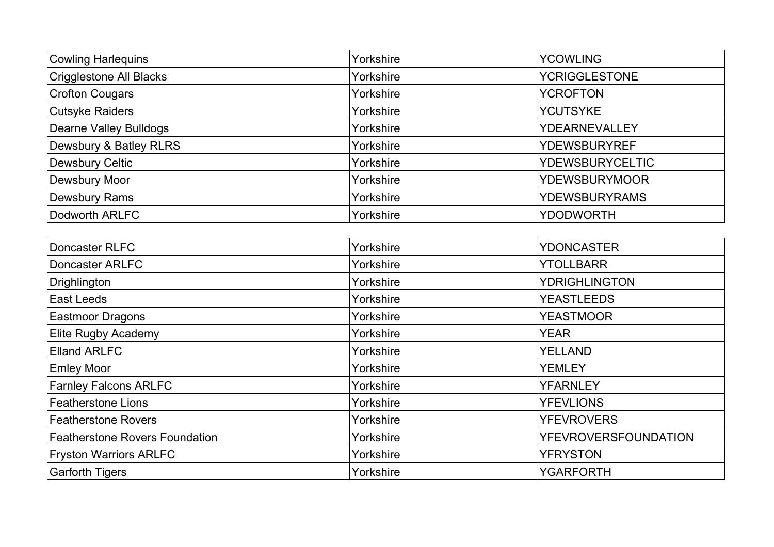| <b>Cowling Harlequins</b>     | Yorkshire | <b>YCOWLING</b>        |
|-------------------------------|-----------|------------------------|
| Crigglestone All Blacks       | Yorkshire | <b>YCRIGGLESTONE</b>   |
| <b>Crofton Cougars</b>        | Yorkshire | <b>YCROFTON</b>        |
| <b>Cutsyke Raiders</b>        | Yorkshire | <b>YCUTSYKE</b>        |
| <b>Dearne Valley Bulldogs</b> | Yorkshire | <b>YDEARNEVALLEY</b>   |
| Dewsbury & Batley RLRS        | Yorkshire | <b>YDEWSBURYREF</b>    |
| Dewsbury Celtic               | Yorkshire | <b>YDEWSBURYCELTIC</b> |
| Dewsbury Moor                 | Yorkshire | <b>YDEWSBURYMOOR</b>   |
| <b>Dewsbury Rams</b>          | Yorkshire | <b>YDEWSBURYRAMS</b>   |
| Dodworth ARLFC                | Yorkshire | <b>YDODWORTH</b>       |

| Doncaster RLFC                 | Yorkshire | <b>YDONCASTER</b>           |
|--------------------------------|-----------|-----------------------------|
| Doncaster ARLFC                | Yorkshire | <b>YTOLLBARR</b>            |
| Drighlington                   | Yorkshire | <b>YDRIGHLINGTON</b>        |
| East Leeds                     | Yorkshire | <b>YEASTLEEDS</b>           |
| <b>Eastmoor Dragons</b>        | Yorkshire | <b>YEASTMOOR</b>            |
| <b>Elite Rugby Academy</b>     | Yorkshire | <b>YEAR</b>                 |
| <b>Elland ARLFC</b>            | Yorkshire | <b>YELLAND</b>              |
| <b>Emley Moor</b>              | Yorkshire | <b>YEMLEY</b>               |
| <b>Farnley Falcons ARLFC</b>   | Yorkshire | <b>YFARNLEY</b>             |
| Featherstone Lions             | Yorkshire | <b>YFEVLIONS</b>            |
| Featherstone Rovers            | Yorkshire | <b>YFEVROVERS</b>           |
| Featherstone Rovers Foundation | Yorkshire | <b>YFEVROVERSFOUNDATION</b> |
| <b>Fryston Warriors ARLFC</b>  | Yorkshire | <b>YFRYSTON</b>             |
| <b>Garforth Tigers</b>         | Yorkshire | <b>YGARFORTH</b>            |
|                                |           |                             |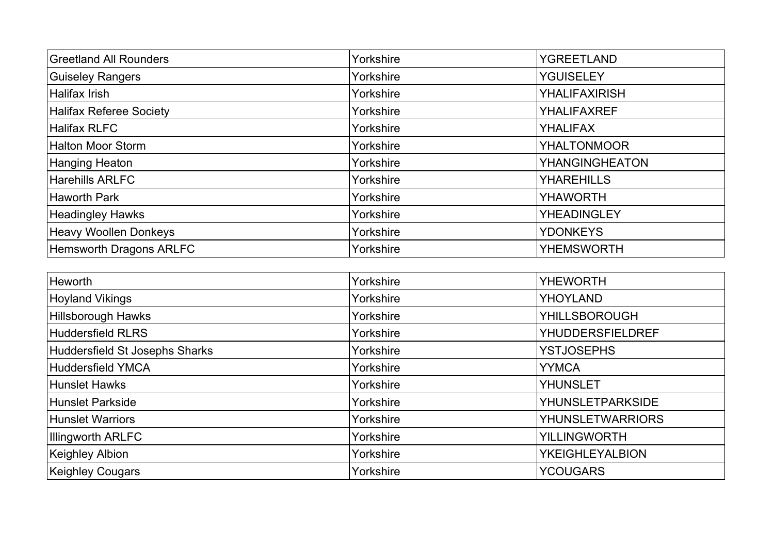| <b>Greetland All Rounders</b>  | Yorkshire | YGREETLAND            |
|--------------------------------|-----------|-----------------------|
| <b>Guiseley Rangers</b>        | Yorkshire | <b>YGUISELEY</b>      |
| Halifax Irish                  | Yorkshire | <b>YHALIFAXIRISH</b>  |
| <b>Halifax Referee Society</b> | Yorkshire | <b>YHALIFAXREF</b>    |
| Halifax RLFC                   | Yorkshire | <b>YHALIFAX</b>       |
| <b>Halton Moor Storm</b>       | Yorkshire | <b>YHALTONMOOR</b>    |
| Hanging Heaton                 | Yorkshire | <b>YHANGINGHEATON</b> |
| <b>Harehills ARLFC</b>         | Yorkshire | <b>YHAREHILLS</b>     |
| <b>Haworth Park</b>            | Yorkshire | <b>YHAWORTH</b>       |
| <b>Headingley Hawks</b>        | Yorkshire | <b>YHEADINGLEY</b>    |
| <b>Heavy Woollen Donkeys</b>   | Yorkshire | <b>YDONKEYS</b>       |
| <b>Hemsworth Dragons ARLFC</b> | Yorkshire | <b>YHEMSWORTH</b>     |

| <b>Heworth</b>                 | Yorkshire | <b>YHEWORTH</b>         |
|--------------------------------|-----------|-------------------------|
| <b>Hoyland Vikings</b>         | Yorkshire | <b>YHOYLAND</b>         |
| Hillsborough Hawks             | Yorkshire | <b>YHILLSBOROUGH</b>    |
| Huddersfield RLRS              | Yorkshire | <b>YHUDDERSFIELDREF</b> |
| Huddersfield St Josephs Sharks | Yorkshire | <b>YSTJOSEPHS</b>       |
| Huddersfield YMCA              | Yorkshire | <b>YYMCA</b>            |
| Hunslet Hawks                  | Yorkshire | <b>YHUNSLET</b>         |
| Hunslet Parkside               | Yorkshire | <b>YHUNSLETPARKSIDE</b> |
| <b>Hunslet Warriors</b>        | Yorkshire | <b>YHUNSLETWARRIORS</b> |
| Illingworth ARLFC              | Yorkshire | <b>YILLINGWORTH</b>     |
| Keighley Albion                | Yorkshire | <b>YKEIGHLEYALBION</b>  |
| <b>Keighley Cougars</b>        | Yorkshire | <b>YCOUGARS</b>         |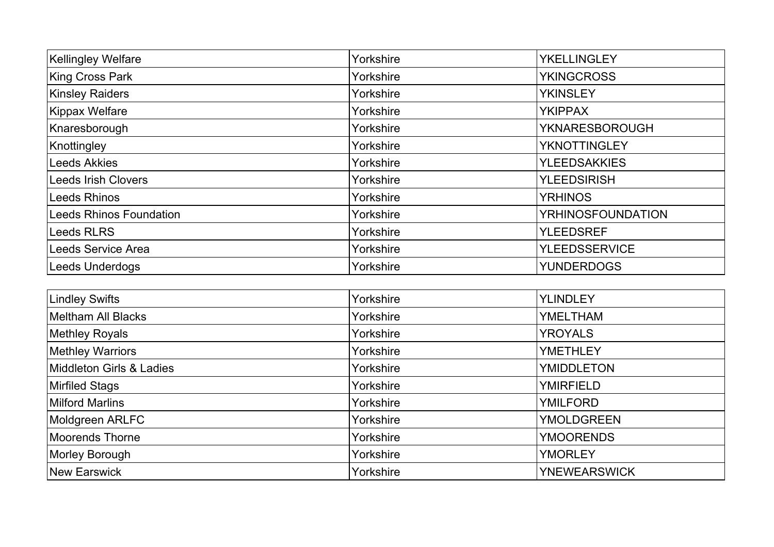| <b>Kellingley Welfare</b>  | Yorkshire | YKELLINGLEY              |
|----------------------------|-----------|--------------------------|
| King Cross Park            | Yorkshire | <b>YKINGCROSS</b>        |
| <b>Kinsley Raiders</b>     | Yorkshire | <b>YKINSLEY</b>          |
| Kippax Welfare             | Yorkshire | <b>YKIPPAX</b>           |
| Knaresborough              | Yorkshire | YKNARESBOROUGH           |
| Knottingley                | Yorkshire | YKNOTTINGLEY             |
| Leeds Akkies               | Yorkshire | <b>YLEEDSAKKIES</b>      |
| <b>Leeds Irish Clovers</b> | Yorkshire | <b>YLEEDSIRISH</b>       |
| <b>Leeds Rhinos</b>        | Yorkshire | <b>YRHINOS</b>           |
| Leeds Rhinos Foundation    | Yorkshire | <b>YRHINOSFOUNDATION</b> |
| <b>Leeds RLRS</b>          | Yorkshire | <b>YLEEDSREF</b>         |
| <b>Leeds Service Area</b>  | Yorkshire | <b>YLEEDSSERVICE</b>     |
| <b>Leeds Underdogs</b>     | Yorkshire | <b>YUNDERDOGS</b>        |
|                            |           |                          |

| <b>Lindley Swifts</b>    | Yorkshire | <b>YLINDLEY</b>     |
|--------------------------|-----------|---------------------|
| Meltham All Blacks       | Yorkshire | <b>YMELTHAM</b>     |
| <b>Methley Royals</b>    | Yorkshire | <b>YROYALS</b>      |
| <b>Methley Warriors</b>  | Yorkshire | <b>YMETHLEY</b>     |
| Middleton Girls & Ladies | Yorkshire | <b>YMIDDLETON</b>   |
| <b>Mirfiled Stags</b>    | Yorkshire | <b>YMIRFIELD</b>    |
| <b>Milford Marlins</b>   | Yorkshire | <b>YMILFORD</b>     |
| Moldgreen ARLFC          | Yorkshire | <b>YMOLDGREEN</b>   |
| Moorends Thorne          | Yorkshire | <b>YMOORENDS</b>    |
| Morley Borough           | Yorkshire | <b>YMORLEY</b>      |
| New Earswick             | Yorkshire | <b>YNEWEARSWICK</b> |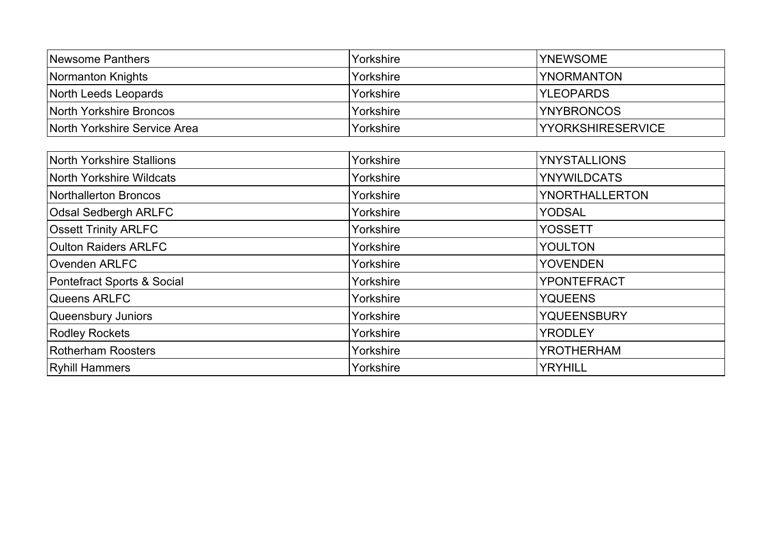| <b>Newsome Panthers</b>      | Yorkshire | <b>YNEWSOME</b>           |
|------------------------------|-----------|---------------------------|
| Normanton Knights            | Yorkshire | <b>YNORMANTON</b>         |
| North Leeds Leopards         | Yorkshire | <b>IYLEOPARDS</b>         |
| North Yorkshire Broncos      | Yorkshire | <b>YNYBRONCOS</b>         |
| North Yorkshire Service Area | Yorkshire | <b>IYYORKSHIRESERVICE</b> |

| North Yorkshire Stallions   | Yorkshire | <b>YNYSTALLIONS</b> |
|-----------------------------|-----------|---------------------|
| North Yorkshire Wildcats    | Yorkshire | <b>YNYWILDCATS</b>  |
| Northallerton Broncos       | Yorkshire | YNORTHALLERTON      |
| <b>Odsal Sedbergh ARLFC</b> | Yorkshire | <b>YODSAL</b>       |
| <b>Ossett Trinity ARLFC</b> | Yorkshire | <b>YOSSETT</b>      |
| <b>Oulton Raiders ARLFC</b> | Yorkshire | <b>YOULTON</b>      |
| Ovenden ARLFC               | Yorkshire | <b>YOVENDEN</b>     |
| Pontefract Sports & Social  | Yorkshire | <b>YPONTEFRACT</b>  |
| Queens ARLFC                | Yorkshire | <b>YQUEENS</b>      |
| <b>Queensbury Juniors</b>   | Yorkshire | <b>YQUEENSBURY</b>  |
| <b>Rodley Rockets</b>       | Yorkshire | <b>YRODLEY</b>      |
| <b>Rotherham Roosters</b>   | Yorkshire | <b>YROTHERHAM</b>   |
| <b>Ryhill Hammers</b>       | Yorkshire | <b>YRYHILL</b>      |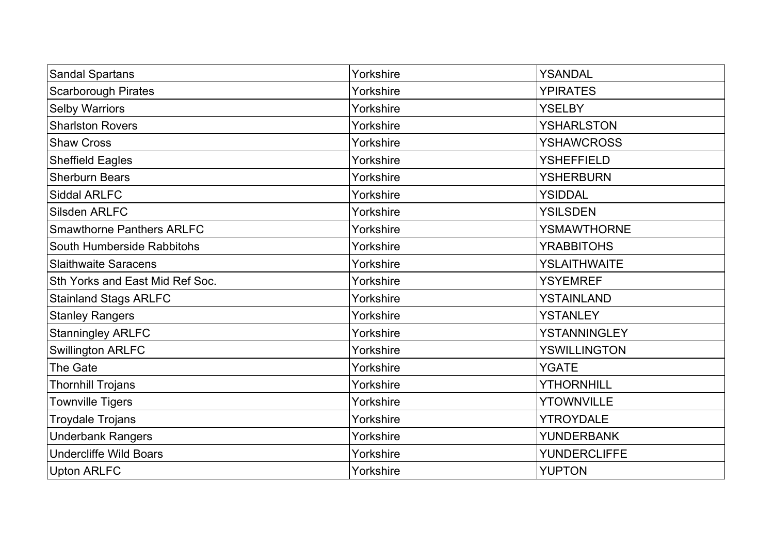| <b>Sandal Spartans</b>           | Yorkshire | YSANDAL             |
|----------------------------------|-----------|---------------------|
| <b>Scarborough Pirates</b>       | Yorkshire | <b>YPIRATES</b>     |
| <b>Selby Warriors</b>            | Yorkshire | <b>YSELBY</b>       |
| <b>Sharlston Rovers</b>          | Yorkshire | <b>YSHARLSTON</b>   |
| <b>Shaw Cross</b>                | Yorkshire | <b>YSHAWCROSS</b>   |
| <b>Sheffield Eagles</b>          | Yorkshire | <b>YSHEFFIELD</b>   |
| <b>Sherburn Bears</b>            | Yorkshire | <b>YSHERBURN</b>    |
| <b>Siddal ARLFC</b>              | Yorkshire | <b>YSIDDAL</b>      |
| <b>Silsden ARLFC</b>             | Yorkshire | <b>YSILSDEN</b>     |
| <b>Smawthorne Panthers ARLFC</b> | Yorkshire | <b>YSMAWTHORNE</b>  |
| South Humberside Rabbitohs       | Yorkshire | <b>YRABBITOHS</b>   |
| <b>Slaithwaite Saracens</b>      | Yorkshire | <b>YSLAITHWAITE</b> |
| Sth Yorks and East Mid Ref Soc.  | Yorkshire | <b>YSYEMREF</b>     |
| <b>Stainland Stags ARLFC</b>     | Yorkshire | <b>YSTAINLAND</b>   |
| <b>Stanley Rangers</b>           | Yorkshire | YSTANLEY            |
| <b>Stanningley ARLFC</b>         | Yorkshire | <b>YSTANNINGLEY</b> |
| <b>Swillington ARLFC</b>         | Yorkshire | <b>YSWILLINGTON</b> |
| The Gate                         | Yorkshire | YGATE               |
| <b>Thornhill Trojans</b>         | Yorkshire | <b>YTHORNHILL</b>   |
| <b>Townville Tigers</b>          | Yorkshire | <b>YTOWNVILLE</b>   |
| <b>Troydale Trojans</b>          | Yorkshire | <b>YTROYDALE</b>    |
| <b>Underbank Rangers</b>         | Yorkshire | <b>YUNDERBANK</b>   |
| <b>Undercliffe Wild Boars</b>    | Yorkshire | <b>YUNDERCLIFFE</b> |
| <b>Upton ARLFC</b>               | Yorkshire | <b>YUPTON</b>       |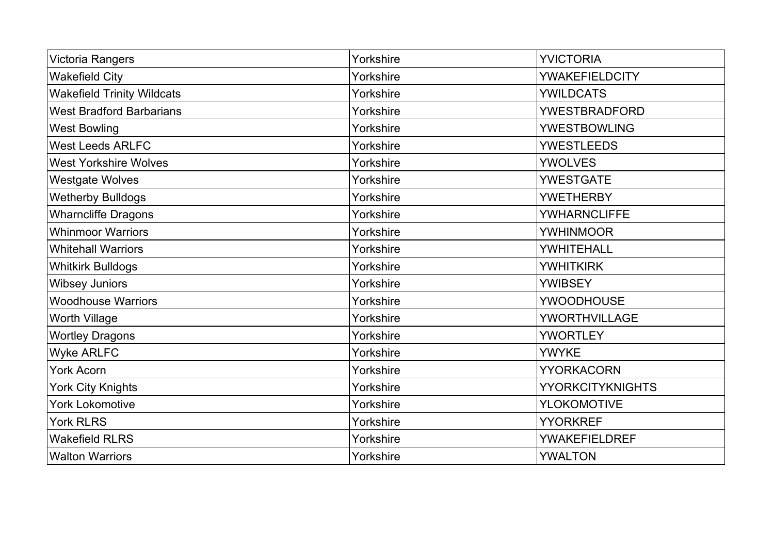| Victoria Rangers                  | Yorkshire | <b>YVICTORIA</b>        |
|-----------------------------------|-----------|-------------------------|
| <b>Wakefield City</b>             | Yorkshire | <b>YWAKEFIELDCITY</b>   |
| <b>Wakefield Trinity Wildcats</b> | Yorkshire | <b>YWILDCATS</b>        |
| <b>West Bradford Barbarians</b>   | Yorkshire | <b>YWESTBRADFORD</b>    |
| <b>West Bowling</b>               | Yorkshire | <b>YWESTBOWLING</b>     |
| <b>West Leeds ARLFC</b>           | Yorkshire | <b>YWESTLEEDS</b>       |
| <b>West Yorkshire Wolves</b>      | Yorkshire | <b>YWOLVES</b>          |
| <b>Westgate Wolves</b>            | Yorkshire | <b>YWESTGATE</b>        |
| <b>Wetherby Bulldogs</b>          | Yorkshire | <b>YWETHERBY</b>        |
| <b>Wharncliffe Dragons</b>        | Yorkshire | <b>YWHARNCLIFFE</b>     |
| <b>Whinmoor Warriors</b>          | Yorkshire | <b>YWHINMOOR</b>        |
| <b>Whitehall Warriors</b>         | Yorkshire | YWHITEHALL              |
| <b>Whitkirk Bulldogs</b>          | Yorkshire | <b>YWHITKIRK</b>        |
| <b>Wibsey Juniors</b>             | Yorkshire | <b>YWIBSEY</b>          |
| <b>Woodhouse Warriors</b>         | Yorkshire | <b>YWOODHOUSE</b>       |
| <b>Worth Village</b>              | Yorkshire | <b>YWORTHVILLAGE</b>    |
| <b>Wortley Dragons</b>            | Yorkshire | <b>YWORTLEY</b>         |
| <b>Wyke ARLFC</b>                 | Yorkshire | <b>YWYKE</b>            |
| York Acorn                        | Yorkshire | <b>YYORKACORN</b>       |
| York City Knights                 | Yorkshire | <b>YYORKCITYKNIGHTS</b> |
| <b>York Lokomotive</b>            | Yorkshire | <b>YLOKOMOTIVE</b>      |
| <b>York RLRS</b>                  | Yorkshire | <b>YYORKREF</b>         |
| <b>Wakefield RLRS</b>             | Yorkshire | <b>YWAKEFIELDREF</b>    |
| <b>Walton Warriors</b>            | Yorkshire | YWALTON                 |